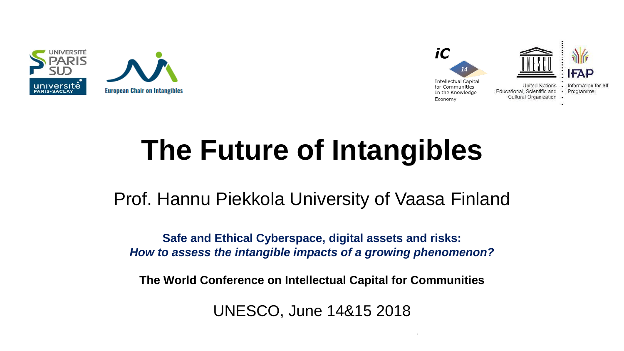



# **The Future of Intangibles**

Prof. Hannu Piekkola University of Vaasa Finland

**Safe and Ethical Cyberspace, digital assets and risks:**  *How to assess the intangible impacts of a growing phenomenon?*

**The World Conference on Intellectual Capital for Communities**

UNESCO, June 14&15 2018

 $14\pm 15$ th June 2018 The World Conference on Intellectual Capital for Communities on Intellectual for Communities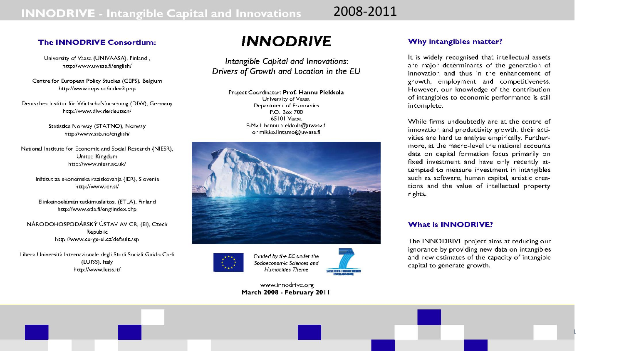2008-2011

#### **The INNODRIVE Consortium:**

University of Vaasa (UNIVAASA), Finland, http://www.uwasa.fi/english/

Centre for European Policy Studies (CEPS), Belgium http://www.ceps.eu/index3.php

Deutsches Institut für Wirtschafsforschung (DIW), Germany http://www.diw.de/deutsch/

> Statistics Norway (STATNO), Norway http://www.ssb.no/english/

National Institute for Economic and Social Research (NIESR), United Kingdom http://www.niesr.ac.uk/

Inštitut za ekonomska raziskovanja (IER), Slovenia http://www.ier.si/

Elinkeinoelämän tutkimuslaitos, (ETLA), Finland http://www.etla.fi/eng/index.php

NÁRODOHOSPODÁRSKÝ ÚSTAV AV CR. (EI), Czech Republic http://www.cerge-ei.cz/default.asp

Libera Università Internazionale degli Studi Sociali Guido Carli (LUISS), Italy http://www.luiss.it/

### **INNODRIVE**

Intangible Capital and Innovations: Drivers of Growth and Location in the EU

> Project Coordinator: Prof. Hannu Piekkola University of Vaasa Department of Economics P.O. Box 700 65101 Vaasa E-Mail: hannu.piekkola@uwasa.fi or mikko.lintamo@uwasa.fi





14th & 15th June 2018 The World Conference on Intellectual Capital for Communities

Funded by the EC under the Socioeconomic Sciences and **Humanities Theme SEVENTE FRAMERA** 

- 14th Edition -

www.innodrive.org March 2008 - February 2011

#### Why intangibles matter?

It is widely recognised that intellectual assets are major determinants of the generation of innovation and thus in the enhancement of growth, employment and competitiveness. However, our knowledge of the contribution of intangibles to economic performance is still incomplete.

While firms undoubtedly are at the centre of innovation and productivity growth, their activities are hard to analyse empirically. Furthermore, at the macro-level the national accounts data on capital formation focus primarily on fixed investment and have only recently attempted to measure investment in intangibles such as software, human capital, artistic creations and the value of intellectual property rights.

#### **What is INNODRIVE?**

The INNODRIVE project aims at reducing our ignorance by providing new data on intangibles and new estimates of the capacity of intangible capital to generate growth.

1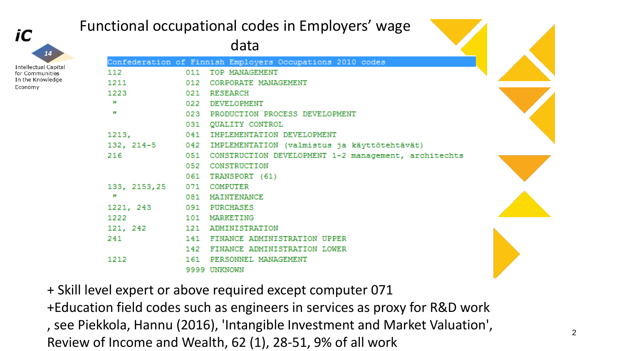

In the Knowledge

Economy

### Functional occupational codes in Employers' wage

data

|              | Confederation of Finnish Employers Occupations 2010 codes   |
|--------------|-------------------------------------------------------------|
| 112          | 011 TOP MANAGEMENT                                          |
| 1211         | 012 CORPORATE MANAGEMENT                                    |
|              | 1223 021 RESEARCH                                           |
| П            | 022 DEVELOPMENT                                             |
| $\mathbf{H}$ | 023 PRODUCTION PROCESS DEVELOPMENT                          |
|              | 031 QUALITY CONTROL                                         |
| 1213,        | 041 IMPLEMENTATION DEVELOPMENT                              |
|              | 132, 214-5 042 IMPLEMENTATION (valmistus ja käyttötehtävät) |
| 216          | 051 CONSTRUCTION DEVELOPMENT 1-2 management, architechts    |
|              | 052 CONSTRUCTION                                            |
|              | 061 TRANSPORT (61)                                          |
|              | 133, 2153, 25 071 COMPUTER                                  |
| $\mathbf{H}$ | 081 MAINTENANCE                                             |
|              | 1221, 243 091 PURCHASES                                     |
|              | 1222 101 MARKETING                                          |
|              | 121, 242 121 ADMINISTRATION                                 |
| 241          | 141 FINANCE ADMINISTRATION UPPER                            |
|              | 142 FINANCE ADMINISTRATION LOWER                            |
| 1212         | 161 PERSONNEL MANAGEMENT                                    |
|              | 9999 UNKNOWN                                                |

+ Skill level expert or above required except computer 071

, see Piekkola, Hannu (2016), 'Intangible Investment and Market Valuation', Review of Income and Wealth, 62 (1), 28-51, 9% of all work +Education field codes such as engineers in services as proxy for R&D work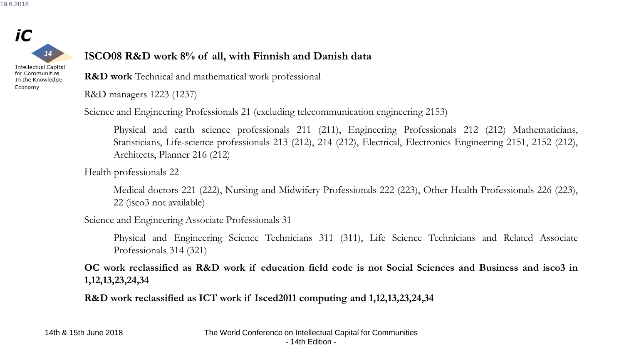

for Communities In the Knowledge

Economy

#### **ISCO08 R&D work 8% of all, with Finnish and Danish data**

**R&D work** Technical and mathematical work professional

R&D managers 1223 (1237)

Science and Engineering Professionals 21 (excluding telecommunication engineering 2153)

Physical and earth science professionals 211 (211), Engineering Professionals 212 (212) Mathematicians, Statisticians, Life-science professionals 213 (212), 214 (212), Electrical, Electronics Engineering 2151, 2152 (212), Architects, Planner 216 (212)

Health professionals 22

Medical doctors 221 (222), Nursing and Midwifery Professionals 222 (223), Other Health Professionals 226 (223), 22 (isco3 not available)

Science and Engineering Associate Professionals 31

Physical and Engineering Science Technicians 311 (311), Life Science Technicians and Related Associate Professionals 314 (321)

OC work reclassified as R&D work if education field code is not Social Sciences and Business and isco3 in **1,12,13,23,24,34**

**R&D work reclassified as ICT work if Isced2011 computing and 1,12,13,23,24,34**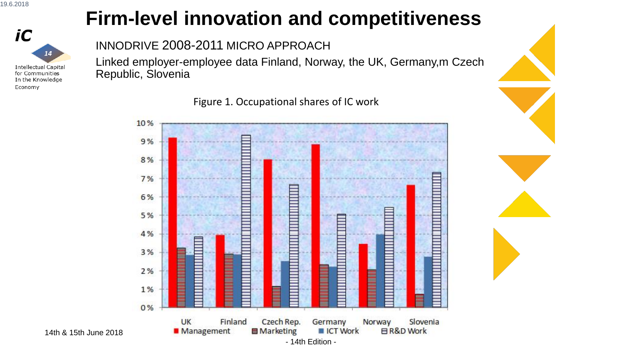

## **Firm-level innovation and competitiveness**

INNODRIVE 2008-2011 MICRO APPROACH

Linked employer-employee data Finland, Norway, the UK, Germany,m Czech Republic, Slovenia

Figure 1. Occupational shares of IC work

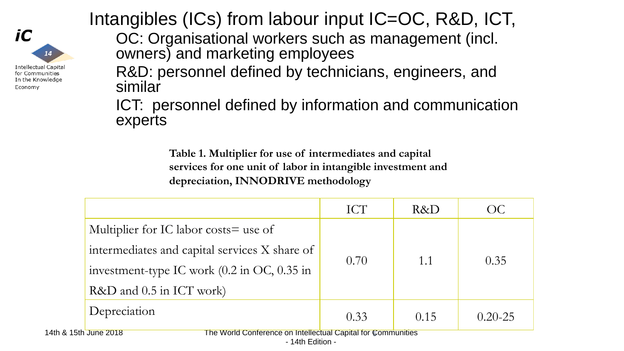

Intangibles (ICs) from labour input IC=OC, R&D, ICT,

OC: Organisational workers such as management (incl. owners) and marketing employees

R&D: personnel defined by technicians, engineers, and similar

ICT: personnel defined by information and communication experts

> **Table 1. Multiplier for use of intermediates and capital services for one unit of labor in intangible investment and depreciation, INNODRIVE methodology**

| 0.70 | 1.1  | 0.35                                                         |
|------|------|--------------------------------------------------------------|
|      |      |                                                              |
| 0.33 | 0.15 | $0.20 - 25$                                                  |
|      |      | The World Conference on Intellectual Capital for Communities |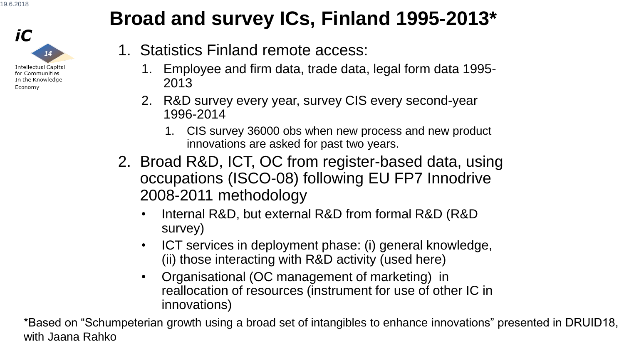

## **Broad and survey ICs, Finland 1995-2013\***

- 1. Statistics Finland remote access:
	- 1. Employee and firm data, trade data, legal form data 1995- 2013
	- 2. R&D survey every year, survey CIS every second-year 1996-2014
		- 1. CIS survey 36000 obs when new process and new product innovations are asked for past two years.
- 2. Broad R&D, ICT, OC from register-based data, using occupations (ISCO-08) following EU FP7 Innodrive 2008-2011 methodology
	- Internal R&D, but external R&D from formal R&D (R&D survey)
	- ICT services in deployment phase: (i) general knowledge, (ii) those interacting with R&D activity (used here)
	- Organisational (OC management of marketing) in reallocation of resources (instrument for use of other IC in innovations)

with Jaana Rahko **The World Conference on Intellectual Conference on Intellectual Capital For Communities and Intellectual Capital for Communities and Intellectual for Communities and Intellectual for Communities and Intel** \*Based on "Schumpeterian growth using a broad set of intangibles to enhance innovations" presented in DRUID18,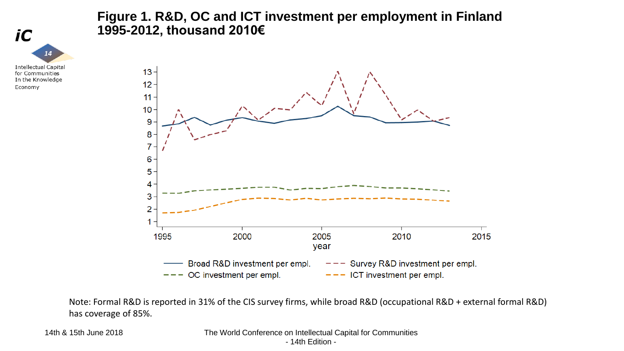

#### **Figure 1. R&D, OC and ICT investment per employment in Finland 1995-2012, thousand 2010€**



Note: Formal R&D is reported in 31% of the CIS survey firms, while broad R&D (occupational R&D + external formal R&D) has coverage of 85%.

14th & 15th June 2018 The World Conference on Intellectual Capital for Communities

- 14th Edition -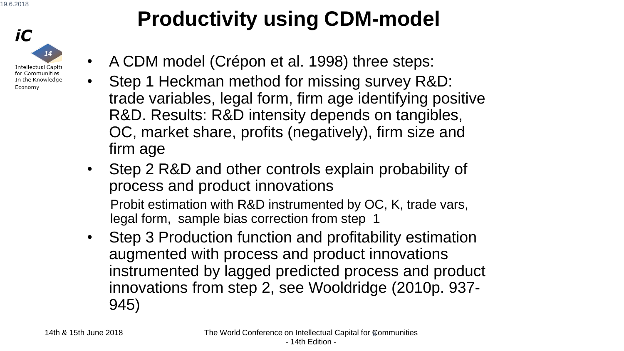

# **Productivity using CDM-model**

- A CDM model (Crépon et al. 1998) three steps:
- Step 1 Heckman method for missing survey R&D: trade variables, legal form, firm age identifying positive R&D. Results: R&D intensity depends on tangibles, OC, market share, profits (negatively), firm size and firm age
- Step 2 R&D and other controls explain probability of process and product innovations

Probit estimation with R&D instrumented by OC, K, trade vars, legal form, sample bias correction from step 1

• Step 3 Production function and profitability estimation augmented with process and product innovations instrumented by lagged predicted process and product innovations from step 2, see Wooldridge (2010p. 937- 945)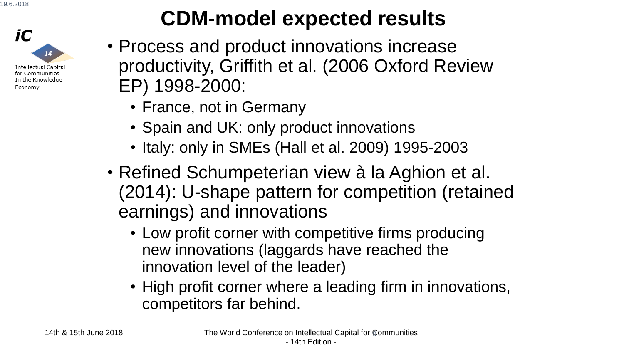

# **CDM-model expected results**

- Process and product innovations increase productivity, Griffith et al. (2006 Oxford Review EP) 1998-2000:
	- France, not in Germany
	- Spain and UK: only product innovations
	- Italy: only in SMEs (Hall et al. 2009) 1995-2003
- Refined Schumpeterian view à la Aghion et al. (2014): U-shape pattern for competition (retained earnings) and innovations
	- Low profit corner with competitive firms producing new innovations (laggards have reached the innovation level of the leader)
	- High profit corner where a leading firm in innovations, competitors far behind.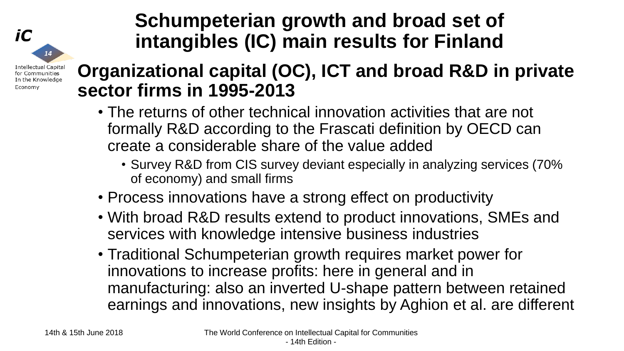### **Schumpeterian growth and broad set of intangibles (IC) main results for Finland**

**Intellectual Capital** for Communities In the Knowledge Economy

 $14$ 

iC

### **Organizational capital (OC), ICT and broad R&D in private sector firms in 1995-2013**

- The returns of other technical innovation activities that are not formally R&D according to the Frascati definition by OECD can create a considerable share of the value added
	- Survey R&D from CIS survey deviant especially in analyzing services (70% of economy) and small firms
- Process innovations have a strong effect on productivity
- With broad R&D results extend to product innovations, SMEs and services with knowledge intensive business industries
- Traditional Schumpeterian growth requires market power for innovations to increase profits: here in general and in manufacturing: also an inverted U-shape pattern between retained earnings and innovations, new insights by Aghion et al. are different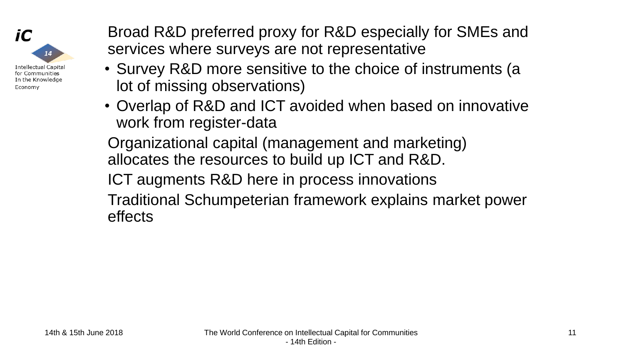

Broad R&D preferred proxy for R&D especially for SMEs and services where surveys are not representative

- Survey R&D more sensitive to the choice of instruments (a lot of missing observations)
- Overlap of R&D and ICT avoided when based on innovative work from register-data

Organizational capital (management and marketing) allocates the resources to build up ICT and R&D.

ICT augments R&D here in process innovations

Traditional Schumpeterian framework explains market power effects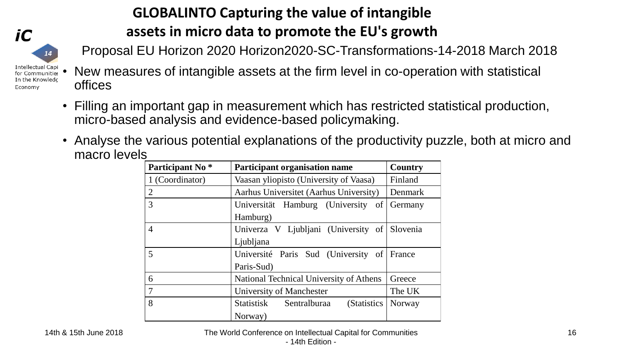

Economy

### **GLOBALINTO Capturing the value of intangible assets in micro data to promote the EU's growth**

Proposal EU Horizon 2020 Horizon2020-SC-Transformations-14-2018 March 2018

#### New measures of intangible assets at the firm level in co-operation with statistical offices

- Filling an important gap in measurement which has restricted statistical production, micro-based analysis and evidence-based policymaking.
- Analyse the various potential explanations of the productivity puzzle, both at micro and macro levels

| Participant No <sup>*</sup> | <b>Participant organisation name</b>         | Country       |
|-----------------------------|----------------------------------------------|---------------|
| 1 (Coordinator)             | Vaasan yliopisto (University of Vaasa)       | Finland       |
| $\overline{2}$              | Aarhus Universitet (Aarhus University)       | Denmark       |
| 3                           | Universität Hamburg (University of           | Germany       |
|                             | Hamburg)                                     |               |
| $\overline{4}$              | Univerza V Ljubljani (University of Slovenia |               |
|                             | Ljubljana                                    |               |
| 5                           | Université Paris Sud (University of          | <b>France</b> |
|                             | Paris-Sud)                                   |               |
| 6                           | National Technical University of Athens      | Greece        |
| $\overline{7}$              | University of Manchester                     | The UK        |
| 8                           | Statistisk Sentralburaa<br>(Statistics)      | Norway        |
|                             | Norway)                                      |               |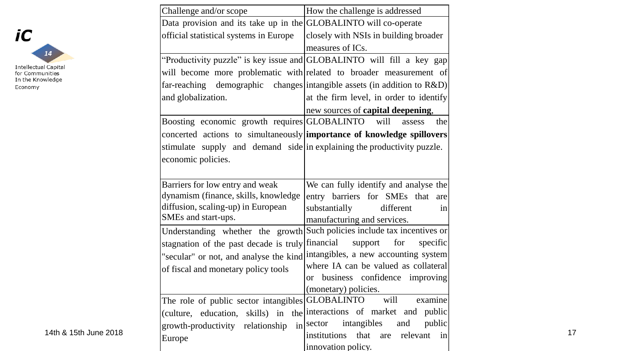

| Challenge and/or scope                                                                                 | How the challenge is addressed                                              |
|--------------------------------------------------------------------------------------------------------|-----------------------------------------------------------------------------|
| Data provision and its take up in the $ GLOBALINTO$ will co-operate                                    |                                                                             |
| official statistical systems in Europe                                                                 | closely with NSIs in building broader                                       |
|                                                                                                        | measures of ICs.                                                            |
|                                                                                                        | "Productivity puzzle" is key issue and GLOBALINTO will fill a key gap       |
|                                                                                                        | will become more problematic with related to broader measurement of         |
|                                                                                                        | far-reaching demographic changes intangible assets (in addition to R&D)     |
| and globalization.                                                                                     | at the firm level, in order to identify                                     |
|                                                                                                        | new sources of <b>capital deepening</b> ,                                   |
| Boosting economic growth requires GLOBALINTO will                                                      | the<br>assess                                                               |
|                                                                                                        | concerted actions to simultaneously importance of knowledge spillovers      |
| stimulate supply and demand side in explaining the productivity puzzle.                                |                                                                             |
| economic policies.                                                                                     |                                                                             |
|                                                                                                        |                                                                             |
| Barriers for low entry and weak                                                                        | We can fully identify and analyse the                                       |
| dynamism (finance, skills, knowledge                                                                   | entry barriers for SMEs that<br>are                                         |
| diffusion, scaling-up) in European                                                                     | substantially<br>different<br>in                                            |
| SMEs and start-ups.                                                                                    | manufacturing and services.                                                 |
|                                                                                                        | Understanding whether the growth Such policies include tax incentives or    |
| stagnation of the past decade is truly financial                                                       | support for<br>specific                                                     |
|                                                                                                        | "secular" or not, and analyse the kind intangibles, a new accounting system |
| of fiscal and monetary policy tools                                                                    | where IA can be valued as collateral                                        |
|                                                                                                        | business confidence improving<br><sub>or</sub>                              |
|                                                                                                        | (monetary) policies.                                                        |
| The role of public sector intangibles $\begin{bmatrix} \text{GLOBALINTO} \\ \text{will} \end{bmatrix}$ | examine                                                                     |
|                                                                                                        | (culture, education, skills) in the interactions of market and public       |
| growth-productivity relationship                                                                       | in sector intangibles and public<br>institutions that are relevant in       |
| Europe                                                                                                 | innovation policy.                                                          |
|                                                                                                        |                                                                             |

17